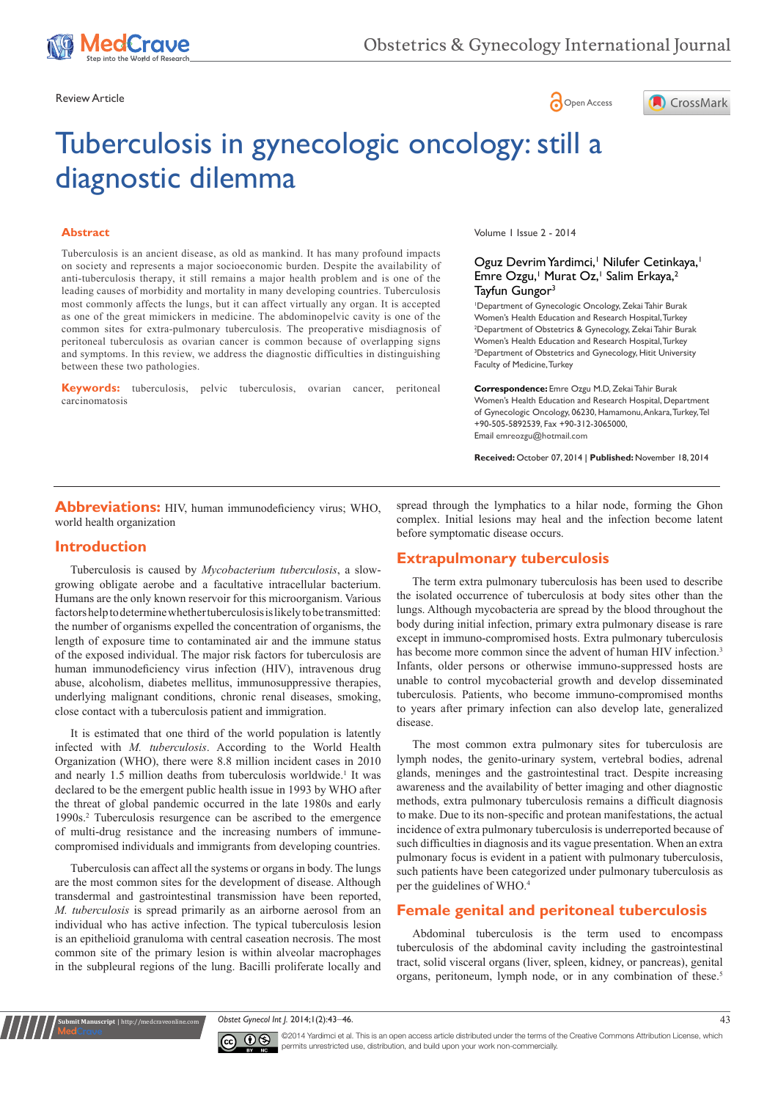





# Tuberculosis in gynecologic oncology: still a diagnostic dilemma

#### **Abstract**

Tuberculosis is an ancient disease, as old as mankind. It has many profound impacts on society and represents a major socioeconomic burden. Despite the availability of anti-tuberculosis therapy, it still remains a major health problem and is one of the leading causes of morbidity and mortality in many developing countries. Tuberculosis most commonly affects the lungs, but it can affect virtually any organ. It is accepted as one of the great mimickers in medicine. The abdominopelvic cavity is one of the common sites for extra-pulmonary tuberculosis. The preoperative misdiagnosis of peritoneal tuberculosis as ovarian cancer is common because of overlapping signs and symptoms. In this review, we address the diagnostic difficulties in distinguishing between these two pathologies.

**Keywords:** tuberculosis, pelvic tuberculosis, ovarian cancer, peritoneal carcinomatosis

Volume 1 Issue 2 - 2014

### Oguz Devrim Yardimci,<sup>1</sup> Nilufer Cetinkaya,<sup>1</sup> Emre Ozgu,<sup>1</sup> Murat Oz,<sup>1</sup> Salim Erkaya,<sup>2</sup> Tayfun Gungor<sup>3</sup>

1 Department of Gynecologic Oncology, Zekai Tahir Burak Women's Health Education and Research Hospital, Turkey <sup>2</sup> Department of Obstetrics & Gynecology, Zekai Tahir Burak Women's Health Education and Research Hospital, Turkey <sup>3</sup> Department of Obstetrics and Gynecology, Hitit University Faculty of Medicine, Turkey

**Correspondence:** Emre Ozgu M.D, Zekai Tahir Burak Women's Health Education and Research Hospital, Department of Gynecologic Oncology, 06230, Hamamonu, Ankara, Turkey, Tel +90-505-5892539, Fax +90-312-3065000, Email emreozgu@hotmail.com

**Received:** October 07, 2014 | **Published:** November 18, 2014

#### **Abbreviations:** HIV, human immunodeficiency virus; WHO, world health organization

#### **Introduction**

Tuberculosis is caused by *Mycobacterium tuberculosis*, a slowgrowing obligate aerobe and a facultative intracellular bacterium. Humans are the only known reservoir for this microorganism. Various factors help to determine whether tuberculosis is likely to be transmitted: the number of organisms expelled the concentration of organisms, the length of exposure time to contaminated air and the immune status of the exposed individual. The major risk factors for tuberculosis are human immunodeficiency virus infection (HIV), intravenous drug abuse, alcoholism, diabetes mellitus, immunosuppressive therapies, underlying malignant conditions, chronic renal diseases, smoking, close contact with a tuberculosis patient and immigration.

It is estimated that one third of the world population is latently infected with *M. tuberculosis*. According to the World Health Organization (WHO), there were 8.8 million incident cases in 2010 and nearly 1.5 million deaths from tuberculosis worldwide.<sup>1</sup> It was declared to be the emergent public health issue in 1993 by WHO after the threat of global pandemic occurred in the late 1980s and early 1990s.2 Tuberculosis resurgence can be ascribed to the emergence of multi-drug resistance and the increasing numbers of immunecompromised individuals and immigrants from developing countries.

Tuberculosis can affect all the systems or organs in body. The lungs are the most common sites for the development of disease. Although transdermal and gastrointestinal transmission have been reported, *M. tuberculosis* is spread primarily as an airborne aerosol from an individual who has active infection. The typical tuberculosis lesion is an epithelioid granuloma with central caseation necrosis. The most common site of the primary lesion is within alveolar macrophages in the subpleural regions of the lung. Bacilli proliferate locally and

**Kubmit Manuscript** | http://medcraveonline

spread through the lymphatics to a hilar node, forming the Ghon complex. Initial lesions may heal and the infection become latent before symptomatic disease occurs.

# **Extrapulmonary tuberculosis**

The term extra pulmonary tuberculosis has been used to describe the isolated occurrence of tuberculosis at body sites other than the lungs. Although mycobacteria are spread by the blood throughout the body during initial infection, primary extra pulmonary disease is rare except in immuno-compromised hosts. Extra pulmonary tuberculosis has become more common since the advent of human HIV infection.<sup>3</sup> Infants, older persons or otherwise immuno-suppressed hosts are unable to control mycobacterial growth and develop disseminated tuberculosis. Patients, who become immuno-compromised months to years after primary infection can also develop late, generalized disease.

The most common extra pulmonary sites for tuberculosis are lymph nodes, the genito-urinary system, vertebral bodies, adrenal glands, meninges and the gastrointestinal tract. Despite increasing awareness and the availability of better imaging and other diagnostic methods, extra pulmonary tuberculosis remains a difficult diagnosis to make. Due to its non-specific and protean manifestations, the actual incidence of extra pulmonary tuberculosis is underreported because of such difficulties in diagnosis and its vague presentation. When an extra pulmonary focus is evident in a patient with pulmonary tuberculosis, such patients have been categorized under pulmonary tuberculosis as per the guidelines of WHO.<sup>4</sup>

# **Female genital and peritoneal tuberculosis**

Abdominal tuberculosis is the term used to encompass tuberculosis of the abdominal cavity including the gastrointestinal tract, solid visceral organs (liver, spleen, kidney, or pancreas), genital organs, peritoneum, lymph node, or in any combination of these.<sup>5</sup>

*Obstet Gynecol Int J.* 2014;1(2):43‒46. 43



©2014 Yardimci et al. This is an open access article distributed under the terms of the [Creative Commons Attribution License,](https://creativecommons.org/licenses/by-nc/4.0/) which permits unrestricted use, distribution, and build upon your work non-commercially.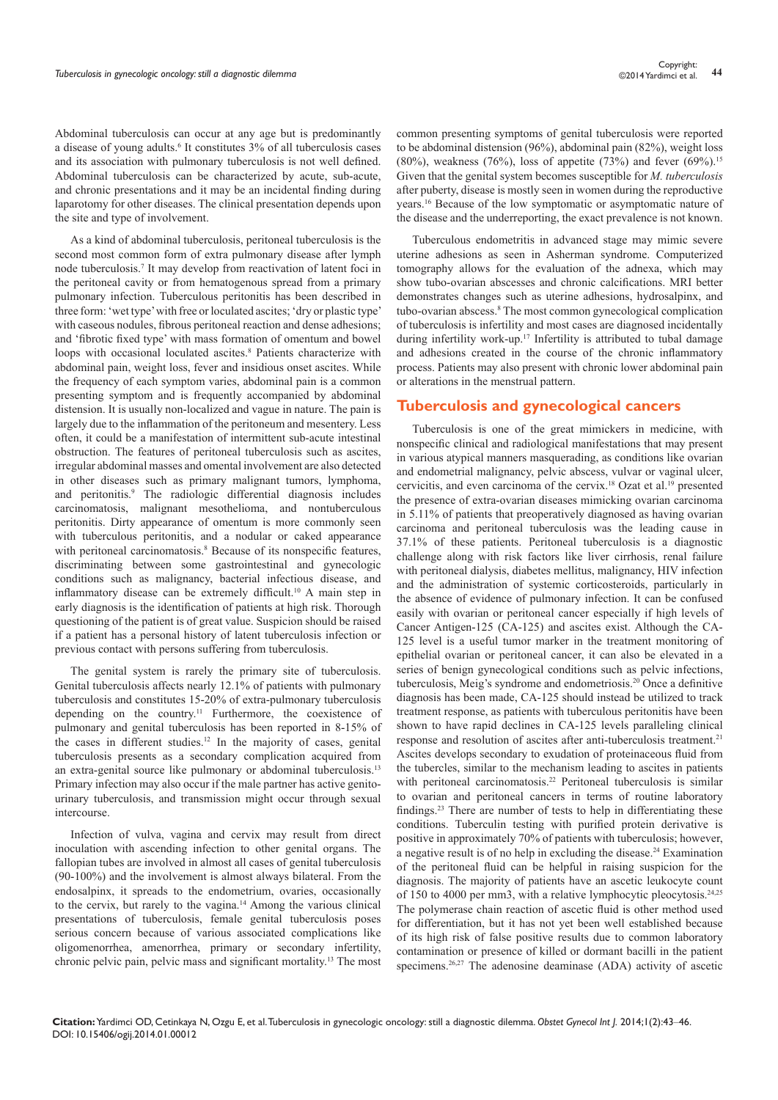Abdominal tuberculosis can occur at any age but is predominantly a disease of young adults.<sup>6</sup> It constitutes 3% of all tuberculosis cases and its association with pulmonary tuberculosis is not well defined. Abdominal tuberculosis can be characterized by acute, sub-acute, and chronic presentations and it may be an incidental finding during laparotomy for other diseases. The clinical presentation depends upon the site and type of involvement.

As a kind of abdominal tuberculosis, peritoneal tuberculosis is the second most common form of extra pulmonary disease after lymph node tuberculosis.<sup>7</sup> It may develop from reactivation of latent foci in the peritoneal cavity or from hematogenous spread from a primary pulmonary infection. Tuberculous peritonitis has been described in three form: 'wet type' with free or loculated ascites; 'dry or plastic type' with caseous nodules, fibrous peritoneal reaction and dense adhesions; and 'fibrotic fixed type' with mass formation of omentum and bowel loops with occasional loculated ascites.<sup>8</sup> Patients characterize with abdominal pain, weight loss, fever and insidious onset ascites. While the frequency of each symptom varies, abdominal pain is a common presenting symptom and is frequently accompanied by abdominal distension. It is usually non-localized and vague in nature. The pain is largely due to the inflammation of the peritoneum and mesentery. Less often, it could be a manifestation of intermittent sub-acute intestinal obstruction. The features of peritoneal tuberculosis such as ascites, irregular abdominal masses and omental involvement are also detected in other diseases such as primary malignant tumors, lymphoma, and peritonitis.<sup>9</sup> The radiologic differential diagnosis includes carcinomatosis, malignant mesothelioma, and nontuberculous peritonitis. Dirty appearance of omentum is more commonly seen with tuberculous peritonitis, and a nodular or caked appearance with peritoneal carcinomatosis.<sup>8</sup> Because of its nonspecific features, discriminating between some gastrointestinal and gynecologic conditions such as malignancy, bacterial infectious disease, and inflammatory disease can be extremely difficult.10 A main step in early diagnosis is the identification of patients at high risk. Thorough questioning of the patient is of great value. Suspicion should be raised if a patient has a personal history of latent tuberculosis infection or previous contact with persons suffering from tuberculosis.

The genital system is rarely the primary site of tuberculosis. Genital tuberculosis affects nearly 12.1% of patients with pulmonary tuberculosis and constitutes 15-20% of extra-pulmonary tuberculosis depending on the country.<sup>11</sup> Furthermore, the coexistence of pulmonary and genital tuberculosis has been reported in 8-15% of the cases in different studies.12 In the majority of cases, genital tuberculosis presents as a secondary complication acquired from an extra-genital source like pulmonary or abdominal tuberculosis.13 Primary infection may also occur if the male partner has active genitourinary tuberculosis, and transmission might occur through sexual intercourse.

Infection of vulva, vagina and cervix may result from direct inoculation with ascending infection to other genital organs. The fallopian tubes are involved in almost all cases of genital tuberculosis (90-100%) and the involvement is almost always bilateral. From the endosalpinx, it spreads to the endometrium, ovaries, occasionally to the cervix, but rarely to the vagina.14 Among the various clinical presentations of tuberculosis, female genital tuberculosis poses serious concern because of various associated complications like oligomenorrhea, amenorrhea, primary or secondary infertility, chronic pelvic pain, pelvic mass and significant mortality.13 The most common presenting symptoms of genital tuberculosis were reported to be abdominal distension (96%), abdominal pain (82%), weight loss (80%), weakness (76%), loss of appetite (73%) and fever (69%).<sup>15</sup> Given that the genital system becomes susceptible for *M. tuberculosis* after puberty, disease is mostly seen in women during the reproductive years.16 Because of the low symptomatic or asymptomatic nature of the disease and the underreporting, the exact prevalence is not known.

Tuberculous endometritis in advanced stage may mimic severe uterine adhesions as seen in Asherman syndrome. Computerized tomography allows for the evaluation of the adnexa, which may show tubo-ovarian abscesses and chronic calcifications. MRI better demonstrates changes such as uterine adhesions, hydrosalpinx, and tubo-ovarian abscess.<sup>8</sup> The most common gynecological complication of tuberculosis is infertility and most cases are diagnosed incidentally during infertility work-up.<sup>17</sup> Infertility is attributed to tubal damage and adhesions created in the course of the chronic inflammatory process. Patients may also present with chronic lower abdominal pain or alterations in the menstrual pattern.

# **Tuberculosis and gynecological cancers**

Tuberculosis is one of the great mimickers in medicine, with nonspecific clinical and radiological manifestations that may present in various atypical manners masquerading, as conditions like ovarian and endometrial malignancy, pelvic abscess, vulvar or vaginal ulcer, cervicitis, and even carcinoma of the cervix.18 Ozat et al.19 presented the presence of extra-ovarian diseases mimicking ovarian carcinoma in 5.11% of patients that preoperatively diagnosed as having ovarian carcinoma and peritoneal tuberculosis was the leading cause in 37.1% of these patients. Peritoneal tuberculosis is a diagnostic challenge along with risk factors like liver cirrhosis, renal failure with peritoneal dialysis, diabetes mellitus, malignancy, HIV infection and the administration of systemic corticosteroids, particularly in the absence of evidence of pulmonary infection. It can be confused easily with ovarian or peritoneal cancer especially if high levels of Cancer Antigen-125 (CA-125) and ascites exist. Although the CA-125 level is a useful tumor marker in the treatment monitoring of epithelial ovarian or peritoneal cancer, it can also be elevated in a series of benign gynecological conditions such as pelvic infections, tuberculosis, Meig's syndrome and endometriosis.20 Once a definitive diagnosis has been made, CA-125 should instead be utilized to track treatment response, as patients with tuberculous peritonitis have been shown to have rapid declines in CA-125 levels paralleling clinical response and resolution of ascites after anti-tuberculosis treatment.<sup>21</sup> Ascites develops secondary to exudation of proteinaceous fluid from the tubercles, similar to the mechanism leading to ascites in patients with peritoneal carcinomatosis.<sup>22</sup> Peritoneal tuberculosis is similar to ovarian and peritoneal cancers in terms of routine laboratory findings.23 There are number of tests to help in differentiating these conditions. Tuberculin testing with purified protein derivative is positive in approximately 70% of patients with tuberculosis; however, a negative result is of no help in excluding the disease.24 Examination of the peritoneal fluid can be helpful in raising suspicion for the diagnosis. The majority of patients have an ascetic leukocyte count of 150 to 4000 per mm3, with a relative lymphocytic pleocytosis.<sup>24,25</sup> The polymerase chain reaction of ascetic fluid is other method used for differentiation, but it has not yet been well established because of its high risk of false positive results due to common laboratory contamination or presence of killed or dormant bacilli in the patient specimens.<sup>26,27</sup> The adenosine deaminase (ADA) activity of ascetic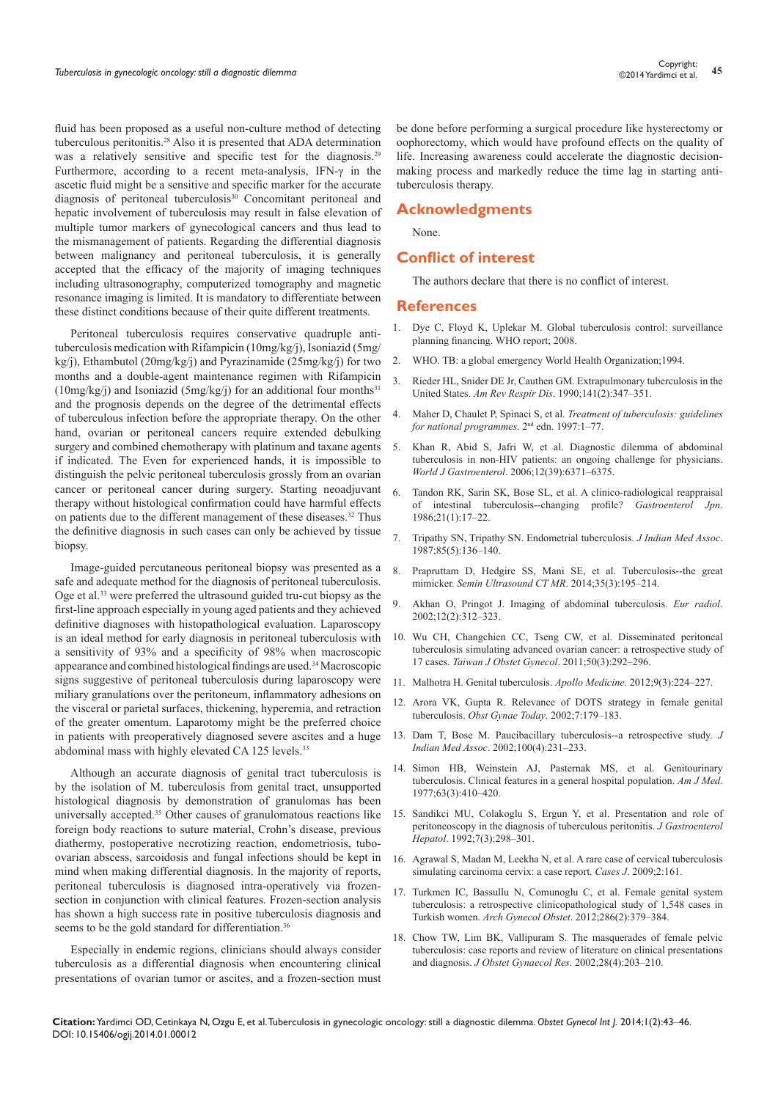fluid has been proposed as a useful non-culture method of detecting tuberculous peritonitis.28 Also it is presented that ADA determination was a relatively sensitive and specific test for the diagnosis.<sup>29</sup> Furthermore, according to a recent meta-analysis, IFN- $\gamma$  in the ascetic fluid might be a sensitive and specific marker for the accurate diagnosis of peritoneal tuberculosis<sup>30</sup> Concomitant peritoneal and hepatic involvement of tuberculosis may result in false elevation of multiple tumor markers of gynecological cancers and thus lead to the mismanagement of patients. Regarding the differential diagnosis between malignancy and peritoneal tuberculosis, it is generally accepted that the efficacy of the majority of imaging techniques including ultrasonography, computerized tomography and magnetic resonance imaging is limited. It is mandatory to differentiate between

Peritoneal tuberculosis requires conservative quadruple antituberculosis medication with Rifampicin (10mg/kg/j), Isoniazid (5mg/ kg/j), Ethambutol (20mg/kg/j) and Pyrazinamide (25mg/kg/j) for two months and a double-agent maintenance regimen with Rifampicin (10mg/kg/j) and Isoniazid (5mg/kg/j) for an additional four months<sup>31</sup> and the prognosis depends on the degree of the detrimental effects of tuberculous infection before the appropriate therapy. On the other hand, ovarian or peritoneal cancers require extended debulking surgery and combined chemotherapy with platinum and taxane agents if indicated. The Even for experienced hands, it is impossible to distinguish the pelvic peritoneal tuberculosis grossly from an ovarian cancer or peritoneal cancer during surgery. Starting neoadjuvant therapy without histological confirmation could have harmful effects on patients due to the different management of these diseases.32 Thus the definitive diagnosis in such cases can only be achieved by tissue biopsy.

these distinct conditions because of their quite different treatments.

Image-guided percutaneous peritoneal biopsy was presented as a safe and adequate method for the diagnosis of peritoneal tuberculosis. Oge et al.33 were preferred the ultrasound guided tru-cut biopsy as the first-line approach especially in young aged patients and they achieved definitive diagnoses with histopathological evaluation. Laparoscopy is an ideal method for early diagnosis in peritoneal tuberculosis with a sensitivity of 93% and a specificity of 98% when macroscopic appearance and combined histological findings are used.34 Macroscopic signs suggestive of peritoneal tuberculosis during laparoscopy were miliary granulations over the peritoneum, inflammatory adhesions on the visceral or parietal surfaces, thickening, hyperemia, and retraction of the greater omentum. Laparotomy might be the preferred choice in patients with preoperatively diagnosed severe ascites and a huge abdominal mass with highly elevated CA 125 levels.<sup>33</sup>

Although an accurate diagnosis of genital tract tuberculosis is by the isolation of M. tuberculosis from genital tract, unsupported histological diagnosis by demonstration of granulomas has been universally accepted.35 Other causes of granulomatous reactions like foreign body reactions to suture material, Crohn's disease, previous diathermy, postoperative necrotizing reaction, endometriosis, tuboovarian abscess, sarcoidosis and fungal infections should be kept in mind when making differential diagnosis. In the majority of reports, peritoneal tuberculosis is diagnosed intra-operatively via frozensection in conjunction with clinical features. Frozen-section analysis has shown a high success rate in positive tuberculosis diagnosis and seems to be the gold standard for differentiation.<sup>36</sup>

Especially in endemic regions, clinicians should always consider tuberculosis as a differential diagnosis when encountering clinical presentations of ovarian tumor or ascites, and a frozen-section must be done before performing a surgical procedure like hysterectomy or oophorectomy, which would have profound effects on the quality of life. Increasing awareness could accelerate the diagnostic decisionmaking process and markedly reduce the time lag in starting antituberculosis therapy.

# **Acknowledgments**

None.

#### **Conflict of interest**

The authors declare that there is no conflict of interest.

#### **References**

- 1. Dye C, Floyd K, Uplekar M. Global tuberculosis control: surveillance planning financing. WHO report; 2008.
- 2. [WHO. TB: a global emergency World Health Organization;1994.](http://apps.who.int/iris/handle/10665/58749)
- 3. [Rieder HL, Snider DE Jr, Cauthen GM. Extrapulmonary tuberculosis in the](http://www.ncbi.nlm.nih.gov/pubmed/2301852)  United States. *Am Rev Respir Dis*[. 1990;141\(2\):347–351.](http://www.ncbi.nlm.nih.gov/pubmed/2301852)
- 4. Maher D, Chaulet P, Spinaci S, et al. *[Treatment of tuberculosis: guidelines](http://whqlibdoc.who.int/hq/1997/WHO_TB_97.220.pdf)  [for national programmes](http://whqlibdoc.who.int/hq/1997/WHO_TB_97.220.pdf)*. 2nd edn. 1997:1–77.
- 5. [Khan R, Abid S, Jafri W, et al. Diagnostic dilemma of abdominal](http://www.ncbi.nlm.nih.gov/pubmed/17072964)  [tuberculosis in non-HIV patients: an ongoing challenge for physicians.](http://www.ncbi.nlm.nih.gov/pubmed/17072964)  *World J Gastroenterol*[. 2006;12\(39\):6371–6375.](http://www.ncbi.nlm.nih.gov/pubmed/17072964)
- 6. [Tandon RK, Sarin SK, Bose SL, et al. A clinico-radiological reappraisal](http://www.ncbi.nlm.nih.gov/pubmed/3699397)  [of intestinal tuberculosis--changing profile?](http://www.ncbi.nlm.nih.gov/pubmed/3699397) *Gastroenterol Jpn*. [1986;21\(1\):17–22.](http://www.ncbi.nlm.nih.gov/pubmed/3699397)
- 7. [Tripathy SN, Tripathy SN. Endometrial tuberculosis.](http://www.ncbi.nlm.nih.gov/pubmed/3655391) *J Indian Med Assoc*. [1987;85\(5\):136–140.](http://www.ncbi.nlm.nih.gov/pubmed/3655391)
- 8. [Prapruttam D, Hedgire SS, Mani SE, et al. Tuberculosis--the great](http://www.ncbi.nlm.nih.gov/pubmed/24929261)  mimicker. *[Semin Ultrasound CT MR](http://www.ncbi.nlm.nih.gov/pubmed/24929261)*. 2014;35(3):195–214.
- 9. [Akhan O, Pringot J. Imaging of abdominal tuberculosis.](http://www.ncbi.nlm.nih.gov/pubmed/11870428) *Eur radiol*. [2002;12\(2\):312–323.](http://www.ncbi.nlm.nih.gov/pubmed/11870428)
- 10. [Wu CH, Changchien CC, Tseng CW, et al. Disseminated peritoneal](http://www.ncbi.nlm.nih.gov/pubmed/22030041)  [tuberculosis simulating advanced ovarian cancer: a retrospective study of](http://www.ncbi.nlm.nih.gov/pubmed/22030041)  17 cases. *[Taiwan J Obstet Gynecol](http://www.ncbi.nlm.nih.gov/pubmed/22030041)*. 2011;50(3):292–296.
- 11. [Malhotra H. Genital tuberculosis.](http://www.apollomedicaljournal.net/article/S0976-0016%2812%2900108-1/fulltext) *Apollo Medicine*. 2012;9(3):224–227.
- 12. [Arora VK, Gupta R. Relevance of DOTS strategy in female genital](http://tbresearch.ntiindia.org.in/222/)  tuberculosis. *[Obst Gynae Today](http://tbresearch.ntiindia.org.in/222/)*. 2002;7:179–183.
- 13. [Dam T, Bose M. Paucibacillary tuberculosis--a retrospective study.](http://www.ncbi.nlm.nih.gov/pubmed/12405330) *J Indian Med Assoc*[. 2002;100\(4\):231–233.](http://www.ncbi.nlm.nih.gov/pubmed/12405330)
- 14. [Simon HB, Weinstein AJ, Pasternak MS, et al. Genitourinary](http://www.sciencedirect.com/science/article/pii/0002934377902790)  [tuberculosis. Clinical features in a general hospital population.](http://www.sciencedirect.com/science/article/pii/0002934377902790) *Am J Med*. [1977;63\(3\):410–420.](http://www.sciencedirect.com/science/article/pii/0002934377902790)
- 15. [Sandikci MU, Colakoglu S, Ergun Y, et al. Presentation and role of](http://www.ncbi.nlm.nih.gov/pubmed/1535231)  [peritoneoscopy in the diagnosis of tuberculous peritonitis.](http://www.ncbi.nlm.nih.gov/pubmed/1535231) *J Gastroenterol Hepatol*[. 1992;7\(3\):298–301.](http://www.ncbi.nlm.nih.gov/pubmed/1535231)
- 16. [Agrawal S, Madan M, Leekha N, et al. A rare case of cervical tuberculosis](http://www.casesjournal.com/content/2/1/161)  [simulating carcinoma cervix: a case report.](http://www.casesjournal.com/content/2/1/161) *Cases J*. 2009;2:161.
- 17. [Turkmen IC, Bassullu N, Comunoglu C, et al. Female genital system](http://www.ncbi.nlm.nih.gov/pubmed/22410957)  [tuberculosis: a retrospective clinicopathological study of 1,548 cases in](http://www.ncbi.nlm.nih.gov/pubmed/22410957)  Turkish women. *Arch Gynecol Obstet*[. 2012;286\(2\):379–384.](http://www.ncbi.nlm.nih.gov/pubmed/22410957)
- 18. [Chow TW, Lim BK, Vallipuram S. The masquerades of female pelvic](http://www.ncbi.nlm.nih.gov/pubmed/12452262)  [tuberculosis: case reports and review of literature on clinical presentations](http://www.ncbi.nlm.nih.gov/pubmed/12452262)  and diagnosis. *[J Obstet Gynaecol Res](http://www.ncbi.nlm.nih.gov/pubmed/12452262)*. 2002;28(4):203–210.